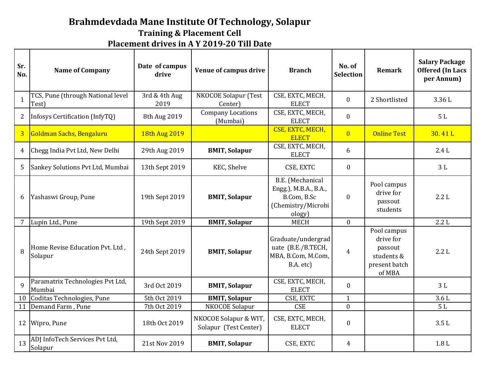## **Brahmdevdada Mane Institute Of Technology, Solapur**

**Training & Placement Cell**

**Placement drives in A Y 2019-20 Till Date**

| Sr.<br>No.     | <b>Name of Company</b>                     | Date of campus<br>drive | Venue of campus drive                          | <b>Branch</b>                                                                            | No. of<br><b>Selection</b> | <b>Remark</b>                                                                | <b>Salary Package</b><br><b>Offered (In Lacs</b><br>per Annum) |
|----------------|--------------------------------------------|-------------------------|------------------------------------------------|------------------------------------------------------------------------------------------|----------------------------|------------------------------------------------------------------------------|----------------------------------------------------------------|
| $\mathbf{1}$   | TCS, Pune (through National level<br>Test) | 3rd & 4th Aug<br>2019   | NKOCOE Solapur (Test<br>Center)                | CSE, EXTC, MECH,<br><b>ELECT</b>                                                         | $\mathbf{0}$               | 2 Shortlisted                                                                | 3.36L                                                          |
| $\overline{2}$ | Infosys Certification (InfyTQ)             | 8th Aug 2019            | <b>Company Locations</b><br>(Mumbai)           | CSE, EXTC, MECH,<br><b>ELECT</b>                                                         | $\boldsymbol{0}$           |                                                                              | 5L                                                             |
| $\overline{3}$ | Goldman Sachs, Bengaluru                   | 18th Aug 2019           |                                                | CSE, EXTC, MECH,<br><b>ELECT</b>                                                         | $\overline{0}$             | <b>Online Test</b>                                                           | 30.41 L                                                        |
| $\overline{4}$ | Chegg India Pvt Ltd, New Delhi             | 29th Aug 2019           | <b>BMIT, Solapur</b>                           | CSE, EXTC, MECH,<br><b>ELECT</b>                                                         | 6                          |                                                                              | 2.4L                                                           |
| 5              | Sankey Solutions Pvt Ltd, Mumbai           | 13th Sept 2019          | KEC, Shelve                                    | CSE, EXTC                                                                                | $\mathbf{0}$               |                                                                              | 3L                                                             |
| 6              | Yashaswi Group, Pune                       | 19th Sept 2019          | <b>BMIT, Solapur</b>                           | B.E. (Mechanical<br>Engg.), M.B.A., B.A.,<br>B.Com, B.Sc<br>(Chemistry/Microbi<br>ology) | $\boldsymbol{0}$           | Pool campus<br>drive for<br>passout<br>students                              | 2.2L                                                           |
| $\overline{7}$ | Lupin Ltd., Pune                           | 19th Sept 2019          | <b>BMIT, Solapur</b>                           | <b>MECH</b>                                                                              | $\mathbf{0}$               |                                                                              | 2.2L                                                           |
| 8              | Home Revise Education Pvt. Ltd,<br>Solapur | 24th Sept 2019          | <b>BMIT, Solapur</b>                           | Graduate/undergrad<br>uate (B.E./B.TECH,<br>MBA, B.Com, M.Com,<br>B.A. etc)              | 4                          | Pool campus<br>drive for<br>passout<br>students &<br>present batch<br>of MBA | 2.2L                                                           |
| $\mathbf{q}$   | Paramatrix Technologies Pvt Ltd,<br>Mumbai | 3rd Oct 2019            | <b>BMIT, Solapur</b>                           | CSE, EXTC, MECH,<br><b>ELECT</b>                                                         | $\mathbf{0}$               |                                                                              | 3L                                                             |
| 10             | Coditas Technologies, Pune                 | 5th Oct 2019            | <b>BMIT, Solapur</b>                           | CSE, EXTC                                                                                | $\mathbf{1}$               |                                                                              | 3.6L                                                           |
| 11             | Demand Farm, Pune                          | 7th Oct 2019            | NKOCOE Solapur                                 | <b>CSE</b>                                                                               | $\mathbf{0}$               |                                                                              | 5L                                                             |
| 12             | Wipro, Pune                                | 18th Oct 2019           | NKOCOE Solapur & WIT,<br>Solapur (Test Center) | CSE, EXTC, MECH,<br><b>ELECT</b>                                                         | $\boldsymbol{0}$           |                                                                              | 3.5L                                                           |
| 13             | ADJ InfoTech Services Pvt Ltd,<br>Solapur  | 21st Nov 2019           | <b>BMIT, Solapur</b>                           | CSE, EXTC                                                                                | $\overline{4}$             |                                                                              | 1.8 <sub>L</sub>                                               |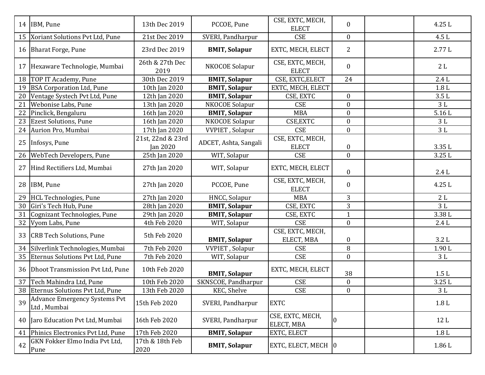|    | 14 IBM, Pune                                        | 13th Dec 2019                        | PCCOE, Pune             | CSE, EXTC, MECH,<br><b>ELECT</b> | $\boldsymbol{0}$ | 4.25L            |
|----|-----------------------------------------------------|--------------------------------------|-------------------------|----------------------------------|------------------|------------------|
| 15 | Xoriant Solutions Pvt Ltd, Pune                     | 21st Dec 2019                        | SVERI, Pandharpur       | <b>CSE</b>                       | $\boldsymbol{0}$ | 4.5L             |
| 16 | <b>Bharat Forge, Pune</b>                           | 23rd Dec 2019                        | <b>BMIT, Solapur</b>    | EXTC, MECH, ELECT                | 2                | 2.77L            |
| 17 | Hexaware Technologie, Mumbai                        | 26th & 27th Dec<br>2019              | NKOCOE Solapur          | CSE, EXTC, MECH,<br><b>ELECT</b> | $\boldsymbol{0}$ | 2L               |
| 18 | TOP IT Academy, Pune                                | 30th Dec 2019                        | <b>BMIT, Solapur</b>    | CSE, EXTC, ELECT                 | 24               | 2.4L             |
| 19 | <b>BSA Corporation Ltd, Pune</b>                    | 10th Jan 2020                        | <b>BMIT, Solapur</b>    | EXTC, MECH, ELECT                |                  | 1.8 <sub>L</sub> |
| 20 | Ventage Systech Pvt Ltd, Pune                       | 12th Jan 2020                        | <b>BMIT, Solapur</b>    | CSE, EXTC                        | $\bf{0}$         | 3.5L             |
| 21 | Webonise Labs, Pune                                 | 13th Jan 2020                        | NKOCOE Solapur          | <b>CSE</b>                       | $\boldsymbol{0}$ | 3L               |
| 22 | Pinclick, Bengaluru                                 | 16th Jan 2020                        | <b>BMIT, Solapur</b>    | <b>MBA</b>                       | $\boldsymbol{0}$ | 5.16L            |
| 23 | <b>Ezest Solutions, Pune</b>                        | 16th Jan 2020                        | NKOCOE Solapur          | CSE, EXTC                        | $\boldsymbol{0}$ | $3L$             |
| 24 | Aurion Pro, Mumbai                                  | 17th Jan 2020                        | <b>VVPIET</b> , Solapur | <b>CSE</b>                       | $\boldsymbol{0}$ | $3\;{\rm L}$     |
|    | 25 Infosys, Pune                                    | 21st, 22nd & 23rd<br><b>Jan 2020</b> | ADCET, Ashta, Sangali   | CSE, EXTC, MECH,<br><b>ELECT</b> | $\boldsymbol{0}$ | 3.35L            |
| 26 | WebTech Developers, Pune                            | 25th Jan 2020                        | WIT, Solapur            | <b>CSE</b>                       | $\mathbf{0}$     | 3.25L            |
| 27 | Hind Rectifiers Ltd, Mumbai                         | 27th Jan 2020                        | WIT, Solapur            | EXTC, MECH, ELECT                | $\boldsymbol{0}$ | 2.4L             |
|    | 28 IBM, Pune                                        | 27th Jan 2020                        | PCCOE, Pune             | CSE, EXTC, MECH,<br><b>ELECT</b> | $\boldsymbol{0}$ | 4.25L            |
| 29 | <b>HCL Technologies</b> , Pune                      | 27th Jan 2020                        | HNCC, Solapur           | <b>MBA</b>                       | 3                | 2L               |
| 30 | Giri's Tech Hub, Pune                               | 28th Jan 2020                        | <b>BMIT, Solapur</b>    | CSE, EXTC                        | 3                | 3L               |
| 31 | Cognizant Technologies, Pune                        | 29th Jan 2020                        | <b>BMIT, Solapur</b>    | CSE, EXTC                        | $\mathbf{1}$     | 3.38L            |
| 32 | Vyom Labs, Pune                                     | 4th Feb 2020                         | WIT, Solapur            | <b>CSE</b>                       | $\boldsymbol{0}$ | 2.4L             |
| 33 | <b>CRB Tech Solutions, Pune</b>                     | 5th Feb 2020                         | <b>BMIT, Solapur</b>    | CSE, EXTC, MECH,<br>ELECT, MBA   | $\boldsymbol{0}$ | 3.2L             |
| 34 | Silverlink Technologies, Mumbai                     | 7th Feb 2020                         | <b>VVPIET</b> , Solapur | <b>CSE</b>                       | 8                | 1.90L            |
| 35 | Eternus Solutions Pvt Ltd, Pune                     | 7th Feb 2020                         | WIT, Solapur            | <b>CSE</b>                       | $\mathbf{0}$     | 3L               |
| 36 | Dhoot Transmission Pvt Ltd, Pune                    | 10th Feb 2020                        | <b>BMIT, Solapur</b>    | EXTC, MECH, ELECT                | 38               | 1.5L             |
| 37 | Tech Mahindra Ltd, Pune                             | 10th Feb 2020                        | SKNSCOE, Pandharpur     | <b>CSE</b>                       | $\boldsymbol{0}$ | 3.25L            |
|    | 38 Eternus Solutions Pvt Ltd, Pune                  | 13th Feb 2020                        | KEC, Shelve             | <b>CSE</b>                       | $\boldsymbol{0}$ | $3\;{\rm L}$     |
| 39 | <b>Advance Emergency Systems Pvt</b><br>Ltd, Mumbai | 15th Feb 2020                        | SVERI, Pandharpur       | <b>EXTC</b>                      |                  | 1.8L             |
|    | 40 Jaro Education Pvt Ltd, Mumbai                   | 16th Feb 2020                        | SVERI, Pandharpur       | CSE, EXTC, MECH,<br>ELECT, MBA   | $\overline{0}$   | 12L              |
| 41 | Phinics Electronics Pvt Ltd, Pune                   | 17th Feb 2020                        | <b>BMIT, Solapur</b>    | EXTC, ELECT                      |                  | 1.8L             |
| 42 | GKN Fokker Elmo India Pvt Ltd,<br>Pune              | 17th & 18th Feb<br>2020              | <b>BMIT, Solapur</b>    | EXTC, ELECT, MECH 0              |                  | $1.86\ {\rm L}$  |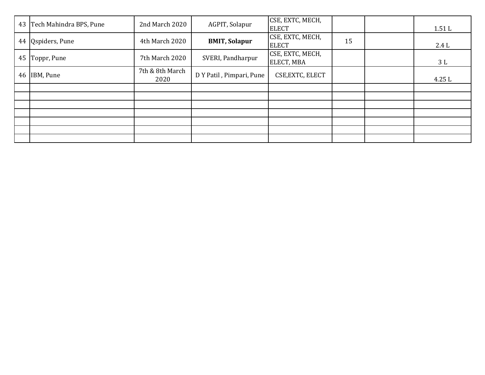|    | 43 Tech Mahindra BPS, Pune | 2nd March 2020          | AGPIT, Solapur           | CSE, EXTC, MECH,<br><b>ELECT</b> |    | 1.51L |
|----|----------------------------|-------------------------|--------------------------|----------------------------------|----|-------|
|    | 44 Qspiders, Pune          | 4th March 2020          | <b>BMIT, Solapur</b>     | CSE, EXTC, MECH,<br><b>ELECT</b> | 15 | 2.4L  |
| 45 | Toppr, Pune                | 7th March 2020          | SVERI, Pandharpur        | CSE, EXTC, MECH,<br>ELECT, MBA   |    | 3L    |
|    | 46 IBM, Pune               | 7th & 8th March<br>2020 | D Y Patil, Pimpari, Pune | CSE, EXTC, ELECT                 |    | 4.25L |
|    |                            |                         |                          |                                  |    |       |
|    |                            |                         |                          |                                  |    |       |
|    |                            |                         |                          |                                  |    |       |
|    |                            |                         |                          |                                  |    |       |
|    |                            |                         |                          |                                  |    |       |
|    |                            |                         |                          |                                  |    |       |
|    |                            |                         |                          |                                  |    |       |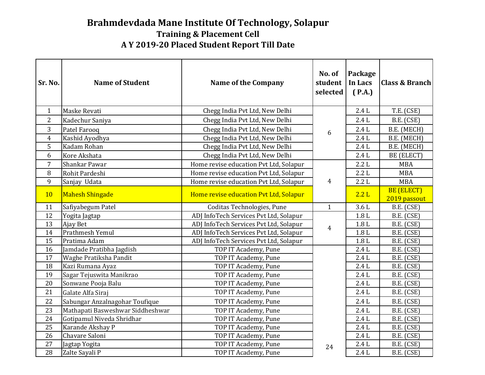## **Brahmdevdada Mane Institute Of Technology, Solapur A Y 2019-20 Placed Student Report Till Date Training & Placement Cell**

| Sr. No.        | <b>Name of Student</b>           | <b>Name of the Company</b>             | No. of<br>student<br>selected | Package<br>In Lacs<br>(P.A.) | <b>Class &amp; Branch</b>         |
|----------------|----------------------------------|----------------------------------------|-------------------------------|------------------------------|-----------------------------------|
| $\mathbf{1}$   | Maske Revati                     | Chegg India Pvt Ltd, New Delhi         |                               | 2.4L                         | T.E. (CSE)                        |
| $\overline{2}$ | Kadechur Saniya                  | Chegg India Pvt Ltd, New Delhi         |                               | 2.4L                         | B.E. (CSE)                        |
| 3              | Patel Farooq                     | Chegg India Pvt Ltd, New Delhi         | 6                             | 2.4L                         | B.E. (MECH)                       |
| $\overline{4}$ | Kashid Ayodhya                   | Chegg India Pvt Ltd, New Delhi         |                               | 2.4L                         | B.E. (MECH)                       |
| 5              | Kadam Rohan                      | Chegg India Pvt Ltd, New Delhi         |                               | 2.4L                         | B.E. (MECH)                       |
| 6              | Kore Akshata                     | Chegg India Pvt Ltd, New Delhi         |                               | 2.4L                         | BE (ELECT)                        |
| $\overline{7}$ | Shankar Pawar                    | Home revise education Pvt Ltd, Solapur |                               | 2.2L                         | <b>MBA</b>                        |
| $\, 8$         | Rohit Pardeshi                   | Home revise education Pvt Ltd, Solapur |                               | 2.2L                         | <b>MBA</b>                        |
| 9              | Sanjay Udata                     | Home revise education Pvt Ltd, Solapur | $\overline{4}$                | 2.2L                         | <b>MBA</b>                        |
| 10             | <b>Mahesh Shingade</b>           | Home revise education Pvt Ltd, Solapur |                               | 2.2L                         | <b>BE (ELECT)</b><br>2019 passout |
| 11             | Safiyabegum Patel                | Coditas Technologies, Pune             | $\mathbf{1}$                  | 3.6 <sub>L</sub>             | B.E. (CSE)                        |
| 12             | Yogita Jagtap                    | ADJ InfoTech Services Pvt Ltd, Solapur |                               | 1.8 <sub>L</sub>             | B.E. (CSE)                        |
| 13             | Ajay Bet                         | ADJ InfoTech Services Pvt Ltd, Solapur | $\overline{4}$                | 1.8 <sub>L</sub>             | B.E. (CSE)                        |
| 14             | Prathmesh Yemul                  | ADJ InfoTech Services Pvt Ltd, Solapur |                               | 1.8L                         | B.E. (CSE)                        |
| 15             | Pratima Adam                     | ADJ InfoTech Services Pvt Ltd, Solapur |                               | 1.8L                         | B.E. (CSE)                        |
| 16             | Jamdade Pratibha Jagdish         | TOP IT Academy, Pune                   |                               | 2.4L                         | B.E. (CSE)                        |
| 17             | Waghe Pratiksha Pandit           | TOP IT Academy, Pune                   |                               | 2.4L                         | B.E. (CSE)                        |
| 18             | Kazi Rumana Ayaz                 | TOP IT Academy, Pune                   |                               | 2.4L                         | B.E. (CSE)                        |
| 19             | Sagar Tejuswita Manikrao         | TOP IT Academy, Pune                   |                               | 2.4L                         | B.E. (CSE)                        |
| 20             | Sonwane Pooja Balu               | TOP IT Academy, Pune                   |                               | 2.4L                         | B.E. (CSE)                        |
| 21             | Galate Alfa Siraj                | TOP IT Academy, Pune                   |                               | 2.4L                         | B.E. (CSE)                        |
| 22             | Sabungar Anzalnagohar Toufique   | TOP IT Academy, Pune                   |                               | 2.4L                         | B.E. (CSE)                        |
| 23             | Mathapati Basweshwar Siddheshwar | TOP IT Academy, Pune                   |                               | 2.4L                         | B.E. (CSE)                        |
| 24             | Gotipamul Niveda Shridhar        | TOP IT Academy, Pune                   |                               | 2.4L                         | B.E. (CSE)                        |
| 25             | Karande Akshay P                 | TOP IT Academy, Pune                   |                               | 2.4L                         | B.E. (CSE)                        |
| 26             | Chavare Saloni                   | TOP IT Academy, Pune                   |                               | 2.4L                         | B.E. (CSE)                        |
| 27             | Jagtap Yogita                    | TOP IT Academy, Pune                   | 24                            | $2.4\;{\rm L}$               | B.E. (CSE)                        |
| 28             | Zalte Sayali P                   | TOP IT Academy, Pune                   |                               | 2.4L                         | B.E. (CSE)                        |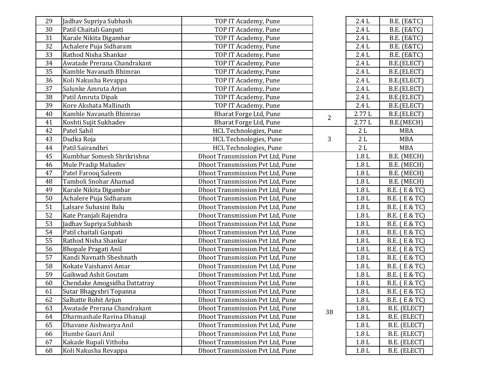| 29 | Jadhav Supriya Subhash       | TOP IT Academy, Pune                    |                | 2.4L             | <b>B.E.</b> (E&TC) |
|----|------------------------------|-----------------------------------------|----------------|------------------|--------------------|
| 30 | Patil Chaitali Ganpati       | TOP IT Academy, Pune                    |                | 2.4L             | <b>B.E.</b> (E&TC) |
| 31 | Karale Nikita Digambar       | TOP IT Academy, Pune                    |                | 2.4L             | <b>B.E.</b> (E&TC) |
| 32 | Achalere Puja Sidharam       | TOP IT Academy, Pune                    |                | 2.4L             | <b>B.E.</b> (E&TC) |
| 33 | Rathod Nisha Shankar         | TOP IT Academy, Pune                    |                | 2.4L             | <b>B.E.</b> (E&TC) |
| 34 | Awatade Prerana Chandrakant  | TOP IT Academy, Pune                    |                | 2.4L             | B.E.(ELECT)        |
| 35 | Kamble Navanath Bhimrao      | TOP IT Academy, Pune                    |                | 2.4L             | B.E.(ELECT)        |
| 36 | Koli Nakusha Revappa         | TOP IT Academy, Pune                    |                | 2.4L             | B.E.(ELECT)        |
| 37 | Salunke Amruta Arjun         | TOP IT Academy, Pune                    |                | 2.4L             | B.E.(ELECT)        |
| 38 | Patil Amruta Dipak           | TOP IT Academy, Pune                    |                | 2.4L             | B.E.(ELECT)        |
| 39 | Kore Akshata Mallinath       | TOP IT Academy, Pune                    |                | 2.4L             | B.E.(ELECT)        |
| 40 | Kamble Navanath Bhimrao      | Bharat Forge Ltd, Pune                  | $\overline{2}$ | 2.77L            | B.E.(ELECT)        |
| 41 | Koshti Sujit Sukhadev        | Bharat Forge Ltd, Pune                  |                | 2.77L            | B.E.(MECH)         |
| 42 | Patel Sahil                  | HCL Technologies, Pune                  |                | 2L               | <b>MBA</b>         |
| 43 | Dudka Roja                   | HCL Technologies, Pune                  | 3              | $2\;{\rm L}$     | <b>MBA</b>         |
| 44 | Patil Sairandhri             | HCL Technologies, Pune                  |                | 2L               | <b>MBA</b>         |
| 45 | Kumbhar Somesh Shrikrishna   | Dhoot Transmission Pvt Ltd, Pune        |                | 1.8L             | B.E. (MECH)        |
| 46 | Mule Pradip Mahadev          | Dhoot Transmission Pvt Ltd, Pune        |                | 1.8L             | B.E. (MECH)        |
| 47 | Patel Farooq Saleem          | Dhoot Transmission Pvt Ltd, Pune        |                | 1.8L             | B.E. (MECH)        |
| 48 | Tamboli Snohar Ahamad        | Dhoot Transmission Pvt Ltd, Pune        |                | $1.8 L$          | B.E. (MECH)        |
| 49 | Karale Nikita Digambar       | <b>Dhoot Transmission Pvt Ltd, Pune</b> |                | 1.8L             | B.E. (E & TC)      |
| 50 | Achalere Puja Sidharam       | Dhoot Transmission Pvt Ltd, Pune        |                | 1.8L             | B.E. (E & TC)      |
| 51 | Lalsare Suhasini Balu        | Dhoot Transmission Pvt Ltd, Pune        |                | $1.8\ {\rm L}$   | B.E. (E & TC)      |
| 52 | Kate Pranjali Rajendra       | Dhoot Transmission Pvt Ltd, Pune        |                | 1.8L             | B.E. (E & TC)      |
| 53 | Jadhav Supriya Subhash       | Dhoot Transmission Pvt Ltd, Pune        |                | 1.8L             | B.E. (E & TC)      |
| 54 | Patil chaitali Ganpati       | Dhoot Transmission Pvt Ltd, Pune        |                | 1.8L             | B.E. (E & TC)      |
| 55 | Rathod Nisha Shankar         | Dhoot Transmission Pvt Ltd, Pune        |                | 1.8L             | B.E. (E & TC)      |
| 56 | <b>Bhopale Pragati Anil</b>  | Dhoot Transmission Pvt Ltd, Pune        |                | 1.8L             | B.E. (E & TC)      |
| 57 | Kandi Navnath Sheshnath      | Dhoot Transmission Pvt Ltd, Pune        |                | $1.8 L$          | B.E. (E & TC)      |
| 58 | Kokate Vaishanvi Amar        | Dhoot Transmission Pvt Ltd, Pune        |                | 1.8L             | B.E. (E & TC)      |
| 59 | Gaikwad Ashit Goutam         | Dhoot Transmission Pvt Ltd, Pune        |                | 1.8L             | B.E. (E & TC)      |
| 60 | Chendake Amogsidha Dattatray | Dhoot Transmission Pvt Ltd, Pune        |                | 1.8L             | B.E. (E & TC)      |
| 61 | Sutar Bhagyshri Topanna      | Dhoot Transmission Pvt Ltd, Pune        |                | $1.8\ {\rm L}$   | B.E. (E & TC)      |
| 62 | Salbatte Rohit Arjun         | Dhoot Transmission Pvt Ltd, Pune        |                | 1.8 <sub>L</sub> | B.E. (E & TC)      |
| 63 | Awatade Prerana Chandrakant  | Dhoot Transmission Pvt Ltd, Pune        | 38             | 1.8 <sub>L</sub> | B.E. (ELECT)       |
| 64 | Dharmashale Ravina Dhanaji   | Dhoot Transmission Pvt Ltd, Pune        |                | 1.8L             | B.E. (ELECT)       |
| 65 | Dhavane Aishwarya Anil       | Dhoot Transmission Pvt Ltd, Pune        |                | 1.8L             | B.E. (ELECT)       |
| 66 | Humbe Gauri Anil             | Dhoot Transmission Pvt Ltd, Pune        |                | 1.8 <sub>L</sub> | B.E. (ELECT)       |
| 67 | Kakade Rupali Vithoba        | Dhoot Transmission Pvt Ltd, Pune        |                | 1.8L             | B.E. (ELECT)       |
| 68 | Koli Nakusha Revappa         | Dhoot Transmission Pvt Ltd, Pune        |                | 1.8 <sub>L</sub> | B.E. (ELECT)       |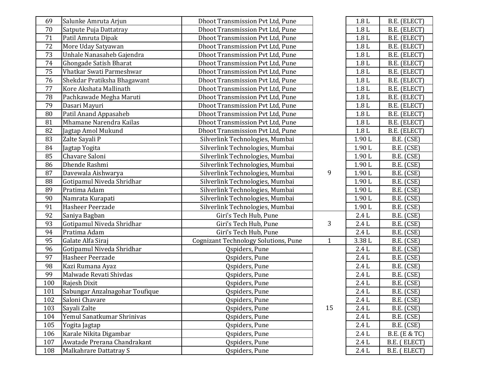| 69  | Salunke Amruta Arjun           | Dhoot Transmission Pvt Ltd, Pune            |              | 1.8 <sub>L</sub> | B.E. (ELECT)  |
|-----|--------------------------------|---------------------------------------------|--------------|------------------|---------------|
| 70  | Satpute Puja Dattatray         | Dhoot Transmission Pvt Ltd, Pune            |              | 1.8 <sub>L</sub> | B.E. (ELECT)  |
| 71  | Patil Amruta Dipak             | Dhoot Transmission Pvt Ltd, Pune            |              | $1.8 L$          | B.E. (ELECT)  |
| 72  | More Uday Satyawan             | Dhoot Transmission Pvt Ltd, Pune            |              | 1.8 <sub>L</sub> | B.E. (ELECT)  |
| 73  | Unhale Nanasaheb Gajendra      | Dhoot Transmission Pvt Ltd, Pune            |              | 1.8 <sub>L</sub> | B.E. (ELECT)  |
| 74  | Ghongade Satish Bharat         | Dhoot Transmission Pvt Ltd, Pune            |              | 1.8L             | B.E. (ELECT)  |
| 75  | Vhatkar Swati Parmeshwar       | Dhoot Transmission Pvt Ltd, Pune            |              | 1.8L             | B.E. (ELECT)  |
| 76  | Shekdar Pratiksha Bhagawant    | <b>Dhoot Transmission Pvt Ltd, Pune</b>     |              | 1.8L             | B.E. (ELECT)  |
| 77  | Kore Akshata Mallinath         | Dhoot Transmission Pvt Ltd, Pune            |              | 1.8L             | B.E. (ELECT)  |
| 78  | Pachkawade Megha Maruti        | Dhoot Transmission Pvt Ltd, Pune            |              | 1.8L             | B.E. (ELECT)  |
| 79  | Dasari Mayuri                  | Dhoot Transmission Pvt Ltd, Pune            |              | 1.8L             | B.E. (ELECT)  |
| 80  | Patil Anand Appasaheb          | Dhoot Transmission Pvt Ltd, Pune            |              | 1.8 <sub>L</sub> | B.E. (ELECT)  |
| 81  | Mhamane Narendra Kailas        | Dhoot Transmission Pvt Ltd, Pune            |              | $1.8 L$          | B.E. (ELECT)  |
| 82  | Jagtap Amol Mukund             | <b>Dhoot Transmission Pvt Ltd, Pune</b>     |              | 1.8L             | B.E. (ELECT)  |
| 83  | Zalte Sayali P                 | Silverlink Technologies, Mumbai             |              | 1.90L            | B.E. (CSE)    |
| 84  | Jagtap Yogita                  | Silverlink Technologies, Mumbai             |              | 1.90L            | B.E. (CSE)    |
| 85  | Chavare Saloni                 | Silverlink Technologies, Mumbai             |              | 1.90L            | B.E. (CSE)    |
| 86  | Dhende Rashmi                  | Silverlink Technologies, Mumbai             |              | 1.90L            | B.E. (CSE)    |
| 87  | Davewala Aishwarya             | Silverlink Technologies, Mumbai             | 9            | 1.90L            | B.E. (CSE)    |
| 88  | Gotipamul Niveda Shridhar      | Silverlink Technologies, Mumbai             |              | 1.90L            | B.E. (CSE)    |
| 89  | Pratima Adam                   | Silverlink Technologies, Mumbai             |              | 1.90L            | B.E. (CSE)    |
| 90  | Namrata Kurapati               | Silverlink Technologies, Mumbai             |              | 1.90L            | B.E. (CSE)    |
| 91  | Hasheer Peerzade               | Silverlink Technologies, Mumbai             |              | 1.90L            | B.E. (CSE)    |
| 92  | Saniya Bagban                  | Giri's Tech Hub, Pune                       |              | 2.4L             | B.E. (CSE)    |
| 93  | Gotipamul Niveda Shridhar      | Giri's Tech Hub, Pune                       | 3            | 2.4L             | B.E. (CSE)    |
| 94  | Pratima Adam                   | Giri's Tech Hub, Pune                       |              | 2.4L             | B.E. (CSE)    |
| 95  | Galate Alfa Siraj              | <b>Cognizant Technology Solutions, Pune</b> | $\mathbf{1}$ | 3.38L            | B.E. (CSE)    |
| 96  | Gotipamul Niveda Shridhar      | Qspiders, Pune                              |              | 2.4L             | B.E. (CSE)    |
| 97  | Hasheer Peerzade               | Qspiders, Pune                              |              | $2.4\;{\rm L}$   | B.E. (CSE)    |
| 98  | Kazi Rumana Ayaz               | Qspiders, Pune                              |              | 2.4L             | B.E. (CSE)    |
| 99  | Malwade Revati Shivdas         | Qspiders, Pune                              |              | 2.4L             | B.E. (CSE)    |
| 100 | Rajesh Dixit                   | Qspiders, Pune                              |              | $2.4\;{\rm L}$   | B.E. (CSE)    |
| 101 | Sabungar Anzalnagohar Toufique | Qspiders, Pune                              |              | $2.4\ {\rm L}$   | B.E. (CSE)    |
| 102 | Saloni Chavare                 | Qspiders, Pune                              |              | 2.4L             | B.E. (CSE)    |
| 103 | Sayali Zalte                   | Qspiders, Pune                              | 15           | 2.4L             | B.E. (CSE)    |
| 104 | Yemul Sanatkumar Shrinivas     | Qspiders, Pune                              |              | 2.4L             | B.E. (CSE)    |
| 105 | Yogita Jagtap                  | Qspiders, Pune                              |              | 2.4L             | B.E. (CSE)    |
| 106 | Karale Nikita Digambar         | Qspiders, Pune                              |              | 2.4L             | B.E. (E & TC) |
| 107 | Awatade Prerana Chandrakant    | Qspiders, Pune                              |              | 2.4L             | B.E. (ELECT)  |
| 108 | Malkahrare Dattatray S         | Qspiders, Pune                              |              | 2.4L             | B.E. (ELECT)  |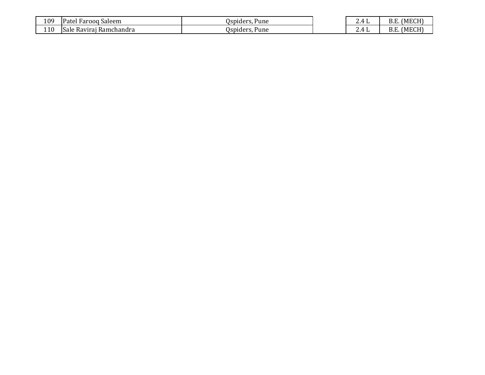| 109 | -<br>$D0$ tal<br>Saleem<br>Farooq<br>dι | Uspiders.<br>Pune | Д | (MECH)<br>D.L |
|-----|-----------------------------------------|-------------------|---|---------------|
| 110 | Ramchandra<br>Ravirai<br>Sale           | Ospiders.<br>Pune | Д | (MECH)<br>D.Γ |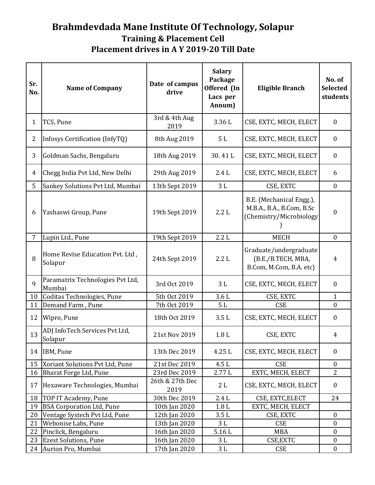## **Brahmdevdada Mane Institute Of Technology, Solapur Training & Placement Cell Placement drives in A Y 2019-20 Till Date**

| Sr.<br>No.     | <b>Name of Company</b>                             | Date of campus<br>drive        | <b>Salary</b><br>Package<br>Offered (In<br>Lacs per<br>Annum) | <b>Eligible Branch</b>                                                           | No. of<br><b>Selected</b><br>students |
|----------------|----------------------------------------------------|--------------------------------|---------------------------------------------------------------|----------------------------------------------------------------------------------|---------------------------------------|
| $\mathbf{1}$   | TCS, Pune                                          | 3rd & 4th Aug<br>2019          | 3.36L                                                         | CSE, EXTC, MECH, ELECT                                                           | $\boldsymbol{0}$                      |
| $\overline{2}$ | Infosys Certification (InfyTQ)                     | 8th Aug 2019                   | 5L                                                            | CSE, EXTC, MECH, ELECT                                                           | $\boldsymbol{0}$                      |
| 3              | Goldman Sachs, Bengaluru                           | 18th Aug 2019                  | 30.41L                                                        | CSE, EXTC, MECH, ELECT                                                           | $\boldsymbol{0}$                      |
| 4              | Chegg India Pvt Ltd, New Delhi                     | 29th Aug 2019                  | 2.4L                                                          | CSE, EXTC, MECH, ELECT                                                           | 6                                     |
| 5              | Sankey Solutions Pvt Ltd, Mumbai                   | 13th Sept 2019                 | $3\;{\rm L}$                                                  | CSE, EXTC                                                                        | $\mathbf{0}$                          |
| 6              | Yashaswi Group, Pune                               | 19th Sept 2019                 | 2.2L                                                          | B.E. (Mechanical Engg.),<br>M.B.A., B.A., B.Com, B.Sc<br>(Chemistry/Microbiology | $\boldsymbol{0}$                      |
| $\overline{7}$ | Lupin Ltd., Pune                                   | 19th Sept 2019                 | 2.2L                                                          | <b>MECH</b>                                                                      | $\overline{0}$                        |
| 8              | Home Revise Education Pvt. Ltd,<br>Solapur         | 24th Sept 2019                 | 2.2L                                                          | Graduate/undergraduate<br>(B.E./B.TECH, MBA,<br>B.Com, M.Com, B.A. etc)          | 4                                     |
| 9              | Paramatrix Technologies Pvt Ltd,<br>Mumbai         | 3rd Oct 2019                   | 3L                                                            | CSE, EXTC, MECH, ELECT                                                           | $\boldsymbol{0}$                      |
| 10             | Coditas Technologies, Pune                         | 5th Oct 2019                   | 3.6L                                                          | CSE, EXTC                                                                        | $\mathbf{1}$                          |
| 11             | Demand Farm, Pune                                  | 7th Oct 2019                   | 5L                                                            | <b>CSE</b>                                                                       | $\boldsymbol{0}$                      |
| 12             | Wipro, Pune                                        | 18th Oct 2019                  | 3.5L                                                          | CSE, EXTC, MECH, ELECT                                                           | $\boldsymbol{0}$                      |
| 13             | ADJ InfoTech Services Pvt Ltd,<br>Solapur          | 21st Nov 2019                  | 1.8 <sub>L</sub>                                              | CSE, EXTC                                                                        | 4                                     |
| 14             | IBM, Pune                                          | 13th Dec 2019                  | 4.25L                                                         | CSE, EXTC, MECH, ELECT                                                           | $\mathbf{0}$                          |
| 15             | Xoriant Solutions Pvt Ltd, Pune                    | 21st Dec 2019                  | 4.5L                                                          | <b>CSE</b>                                                                       | $\boldsymbol{0}$                      |
| 16             | Bharat Forge Ltd, Pune                             | 23rd Dec 2019                  | 2.77L                                                         | EXTC, MECH, ELECT                                                                | $\overline{2}$                        |
| 17             | Hexaware Technologies, Mumbai                      | 26th & 27th Dec<br>2019        | 2L                                                            | CSE, EXTC, MECH, ELECT                                                           | $\mathbf{0}$                          |
| 18             | TOP IT Academy, Pune                               | 30th Dec 2019                  | 2.4L                                                          | CSE, EXTC, ELECT                                                                 | 24                                    |
| 19             | <b>BSA Corporation Ltd, Pune</b>                   | 10th Jan 2020                  | 1.8L                                                          | EXTC, MECH, ELECT                                                                |                                       |
| 20             | Ventage Systech Pvt Ltd, Pune                      | 12th Jan 2020                  | $3.5\;{\rm L}$                                                | CSE, EXTC                                                                        | $\boldsymbol{0}$                      |
| 21             | Webonise Labs, Pune                                | 13th Jan 2020                  | 3L                                                            | <b>CSE</b>                                                                       | $\boldsymbol{0}$                      |
| 22             | Pinclick, Bengaluru                                | 16th Jan 2020                  | 5.16L                                                         | <b>MBA</b>                                                                       | $\boldsymbol{0}$                      |
| 23<br>24       | <b>Ezest Solutions, Pune</b><br>Aurion Pro, Mumbai | 16th Jan 2020<br>17th Jan 2020 | 3 L                                                           | CSE, EXTC<br><b>CSE</b>                                                          | $\boldsymbol{0}$<br>$\boldsymbol{0}$  |
|                |                                                    |                                | 3L                                                            |                                                                                  |                                       |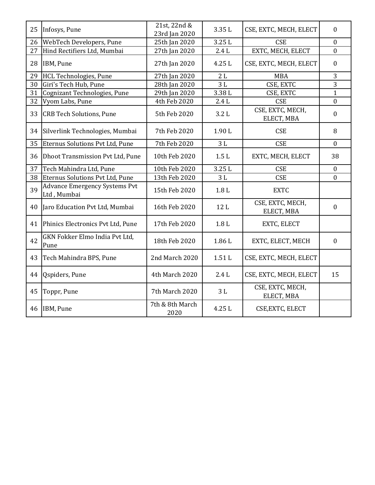| 25 | Infosys, Pune                                       | 21st, 22nd &<br>23rd Jan 2020 | 3.35L            | CSE, EXTC, MECH, ELECT         | $\mathbf{0}$     |
|----|-----------------------------------------------------|-------------------------------|------------------|--------------------------------|------------------|
| 26 | WebTech Developers, Pune                            | 25th Jan 2020                 | 3.25L            | <b>CSE</b>                     | $\overline{0}$   |
| 27 | Hind Rectifiers Ltd, Mumbai                         | 27th Jan 2020                 | 2.4L             | EXTC, MECH, ELECT              | $\overline{0}$   |
| 28 | IBM, Pune                                           | 27th Jan 2020                 | 4.25 L           | CSE, EXTC, MECH, ELECT         | $\mathbf{0}$     |
| 29 | <b>HCL Technologies, Pune</b>                       | 27th Jan 2020                 | 2L               | <b>MBA</b>                     | $\overline{3}$   |
| 30 | Giri's Tech Hub, Pune                               | 28th Jan 2020                 | 3L               | CSE, EXTC                      | $\overline{3}$   |
| 31 | Cognizant Technologies, Pune                        | 29th Jan 2020                 | 3.38L            | CSE, EXTC                      | $\mathbf{1}$     |
| 32 | Vyom Labs, Pune                                     | 4th Feb 2020                  | 2.4L             | <b>CSE</b>                     | $\overline{0}$   |
| 33 | <b>CRB Tech Solutions, Pune</b>                     | 5th Feb 2020                  | 3.2L             | CSE, EXTC, MECH,<br>ELECT, MBA | $\boldsymbol{0}$ |
| 34 | Silverlink Technologies, Mumbai                     | 7th Feb 2020                  | 1.90L            | <b>CSE</b>                     | 8                |
| 35 | Eternus Solutions Pvt Ltd, Pune                     | 7th Feb 2020                  | $3\;{\rm L}$     | <b>CSE</b>                     | $\mathbf{0}$     |
| 36 | <b>Dhoot Transmission Pvt Ltd, Pune</b>             | 10th Feb 2020                 | 1.5L             | EXTC, MECH, ELECT              | 38               |
| 37 | Tech Mahindra Ltd, Pune                             | 10th Feb 2020                 | 3.25L            | <b>CSE</b>                     | $\mathbf{0}$     |
| 38 | Eternus Solutions Pvt Ltd, Pune                     | 13th Feb 2020                 | 3L               | <b>CSE</b>                     | $\mathbf{0}$     |
| 39 | <b>Advance Emergency Systems Pvt</b><br>Ltd, Mumbai | 15th Feb 2020                 | 1.8 <sub>L</sub> | <b>EXTC</b>                    |                  |
| 40 | Jaro Education Pvt Ltd, Mumbai                      | 16th Feb 2020                 | 12L              | CSE, EXTC, MECH,<br>ELECT, MBA | $\boldsymbol{0}$ |
| 41 | Phinics Electronics Pvt Ltd, Pune                   | 17th Feb 2020                 | 1.8 <sub>L</sub> | EXTC, ELECT                    |                  |
| 42 | GKN Fokker Elmo India Pvt Ltd,<br>Pune              | 18th Feb 2020                 | 1.86L            | EXTC, ELECT, MECH              | $\boldsymbol{0}$ |
| 43 | Tech Mahindra BPS, Pune                             | 2nd March 2020                | 1.51L            | CSE, EXTC, MECH, ELECT         |                  |
| 44 | Qspiders, Pune                                      | 4th March 2020                | 2.4L             | CSE, EXTC, MECH, ELECT         | 15               |
| 45 | Toppr, Pune                                         | 7th March 2020                | 3L               | CSE, EXTC, MECH,<br>ELECT, MBA |                  |
| 46 | IBM, Pune                                           | 7th & 8th March<br>2020       | 4.25 L           | CSE, EXTC, ELECT               |                  |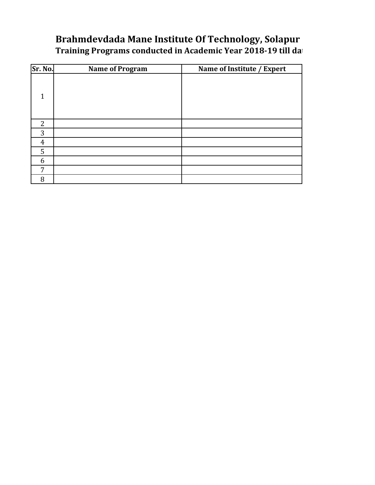## **Brahmdevdada Mane Institute Of Technology, Solapur Training Programs conducted in Academic Year 2018-19 till date**

| Sr. No.        | <b>Name of Program</b> | Name of Institute / Expert |
|----------------|------------------------|----------------------------|
|                |                        |                            |
|                |                        |                            |
| $\overline{2}$ |                        |                            |
| 3              |                        |                            |
| 4              |                        |                            |
| 5              |                        |                            |
| 6              |                        |                            |
| 7              |                        |                            |
| 8              |                        |                            |